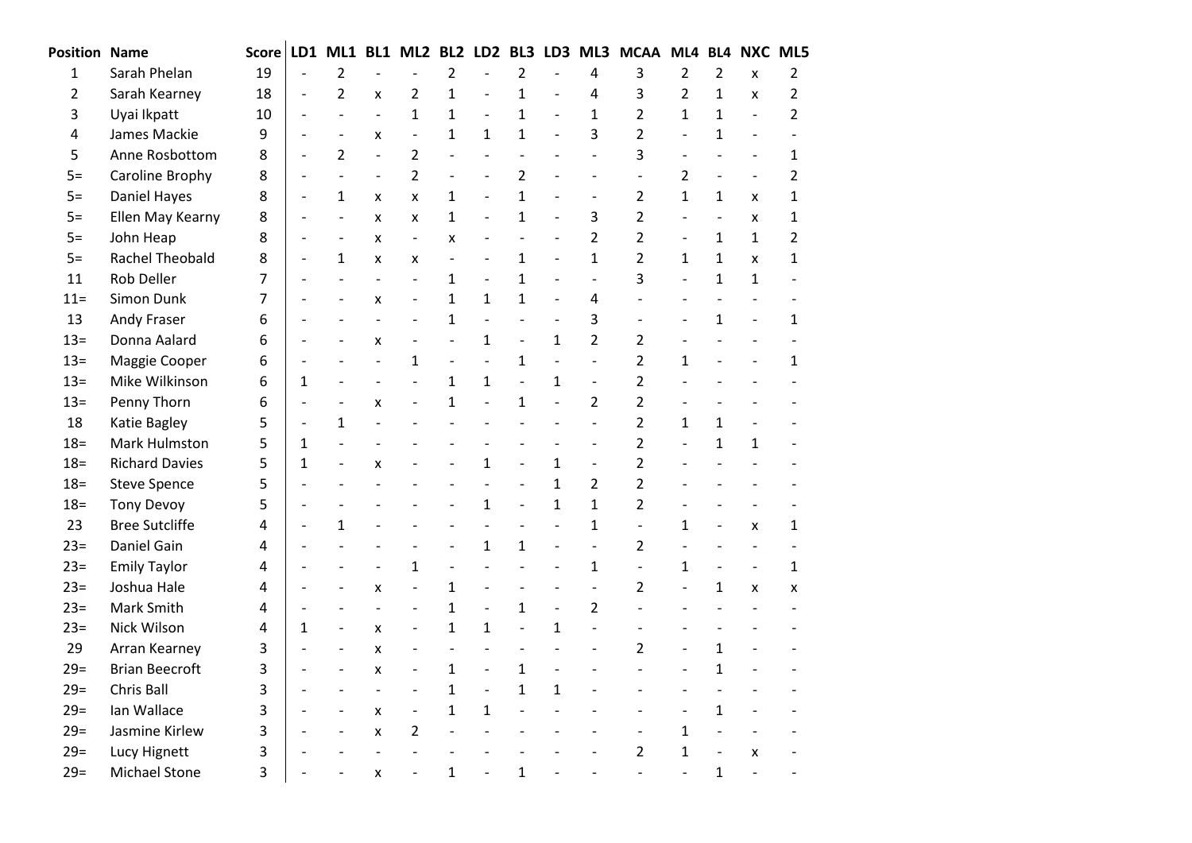| <b>Position Name</b> |                       | <b>Score</b>   | LD1            | ML1                      | BL1                      | ML <sub>2</sub>              | BL <sub>2</sub> | LD <sub>2</sub>          | BL <sub>3</sub>          | LD3                      | ML3                      | <b>MCAA</b>    | ML4 BL4        |                          | <b>NXC ML5</b>            |                |
|----------------------|-----------------------|----------------|----------------|--------------------------|--------------------------|------------------------------|-----------------|--------------------------|--------------------------|--------------------------|--------------------------|----------------|----------------|--------------------------|---------------------------|----------------|
| $\mathbf 1$          | Sarah Phelan          | 19             |                | $\overline{2}$           |                          |                              | $\overline{2}$  |                          | 2                        |                          | 4                        | 3              | $\overline{2}$ | 2                        | X                         | $\mathbf{2}$   |
| $\overline{2}$       | Sarah Kearney         | 18             | $\frac{1}{2}$  | $\overline{2}$           | x                        | 2                            | $\mathbf{1}$    |                          | $\mathbf 1$              |                          | 4                        | 3              | $\overline{2}$ | $\mathbf{1}$             | X                         | $\overline{2}$ |
| 3                    | Uyai Ikpatt           | 10             |                | $\overline{a}$           | $\frac{1}{2}$            | $\mathbf{1}$                 | $\mathbf{1}$    |                          | $\mathbf{1}$             | $\overline{\phantom{a}}$ | $\mathbf{1}$             | $\overline{2}$ | $\mathbf{1}$   | 1                        | $\overline{\phantom{a}}$  | $\overline{2}$ |
| 4                    | James Mackie          | 9              |                | $\overline{\phantom{a}}$ | X                        | $\frac{1}{2}$                | $\mathbf{1}$    | $\mathbf{1}$             | $\mathbf{1}$             | $\overline{\phantom{a}}$ | 3                        | $\overline{2}$ | $\blacksquare$ | $\mathbf{1}$             | $\overline{\phantom{a}}$  |                |
| 5                    | Anne Rosbottom        | 8              |                | $\overline{2}$           | $\blacksquare$           | $\overline{2}$               | $\overline{a}$  | $\overline{a}$           | $\overline{a}$           |                          | $\overline{a}$           | 3              | $\overline{a}$ |                          | $\overline{\phantom{a}}$  | 1              |
| $5=$                 | Caroline Brophy       | 8              |                | $\overline{a}$           | $\overline{\phantom{0}}$ | $\overline{2}$               | $\overline{a}$  |                          | 2                        |                          | $\overline{a}$           | $\overline{a}$ | $\overline{2}$ |                          | $\overline{\phantom{a}}$  | $\overline{2}$ |
| $5=$                 | Daniel Hayes          | 8              | $\overline{a}$ | $\mathbf{1}$             | X                        | x                            | $\mathbf{1}$    | $\overline{\phantom{0}}$ | $\mathbf{1}$             | $\overline{\phantom{0}}$ | $\overline{a}$           | $\overline{2}$ | $\mathbf{1}$   | $\mathbf{1}$             | X                         | $\mathbf{1}$   |
| $5=$                 | Ellen May Kearny      | 8              | $\overline{a}$ | $\overline{a}$           | X                        | X                            | $\mathbf{1}$    | $\overline{\phantom{0}}$ | $\overline{1}$           | $\overline{\phantom{0}}$ | 3                        | $\overline{2}$ | $\overline{a}$ | $\blacksquare$           | $\boldsymbol{\mathsf{x}}$ | 1              |
| $5=$                 | John Heap             | 8              |                | $\overline{a}$           | x                        | $\overline{\phantom{a}}$     | X               | $\overline{a}$           | $\overline{\phantom{m}}$ | $\frac{1}{2}$            | $\overline{2}$           | $\overline{2}$ | $\frac{1}{2}$  | 1                        | $\mathbf{1}$              | $\overline{2}$ |
| $5=$                 | Rachel Theobald       | 8              |                | $\mathbf{1}$             | X                        | X                            |                 |                          | $\mathbf 1$              | $\overline{a}$           | $\mathbf{1}$             | $\overline{2}$ | $\mathbf{1}$   | 1                        | $\mathbf{x}$              | $\mathbf{1}$   |
| 11                   | Rob Deller            | $\overline{7}$ |                |                          | $\overline{\phantom{a}}$ | $\overline{\phantom{a}}$     | $\mathbf{1}$    | $\overline{a}$           | $\mathbf{1}$             | $\frac{1}{2}$            | $\overline{\phantom{0}}$ | 3              | $\overline{a}$ | $\mathbf{1}$             | $\mathbf{1}$              |                |
| $11 =$               | Simon Dunk            | $\overline{7}$ |                |                          | $\pmb{\mathsf{X}}$       | $\frac{1}{2}$                | $\mathbf{1}$    | $\mathbf{1}$             | $\mathbf{1}$             | $\frac{1}{2}$            | 4                        |                | $\overline{a}$ |                          |                           |                |
| 13                   | <b>Andy Fraser</b>    | 6              |                |                          |                          |                              | $\mathbf{1}$    |                          |                          | $\overline{\phantom{a}}$ | 3                        |                |                | 1                        |                           | $\mathbf{1}$   |
| $13=$                | Donna Aalard          | 6              |                |                          | $\pmb{\mathsf{X}}$       | $\qquad \qquad \blacksquare$ | $\overline{a}$  | $\mathbf{1}$             | $\overline{\phantom{a}}$ | $\mathbf{1}$             | $\overline{2}$           | $\overline{2}$ |                |                          |                           |                |
| $13=$                | Maggie Cooper         | 6              |                |                          | $\frac{1}{2}$            | $\mathbf{1}$                 | $\overline{a}$  |                          | $\mathbf 1$              | $\overline{\phantom{0}}$ | $\overline{\phantom{0}}$ | $\overline{2}$ | $\mathbf{1}$   |                          |                           | $\mathbf{1}$   |
| $13 =$               | Mike Wilkinson        | 6              | 1              |                          | $\overline{\phantom{a}}$ |                              | $\mathbf{1}$    | $\mathbf{1}$             | $\overline{\phantom{0}}$ | $\mathbf{1}$             | $\overline{\phantom{0}}$ | $\overline{2}$ |                |                          |                           |                |
| $13 =$               | Penny Thorn           | 6              |                |                          | x                        | $\overline{\phantom{0}}$     | $\mathbf 1$     |                          | $\mathbf 1$              | $\overline{a}$           | $\overline{2}$           | $\overline{2}$ |                |                          |                           |                |
| 18                   | Katie Bagley          | 5              | $\overline{a}$ | 1                        |                          |                              |                 |                          |                          |                          | $\overline{a}$           | $\overline{2}$ | $\mathbf{1}$   | 1                        |                           |                |
| $18 =$               | Mark Hulmston         | 5              | $\mathbf{1}$   |                          |                          |                              |                 |                          |                          |                          | $\overline{a}$           | $\overline{2}$ | $\overline{a}$ | 1                        | 1                         |                |
| $18 =$               | <b>Richard Davies</b> | 5              | $\mathbf{1}$   |                          | $\pmb{\mathsf{X}}$       |                              |                 | $\mathbf{1}$             | $\overline{a}$           | $\mathbf{1}$             | $\overline{a}$           | $\overline{2}$ | $\overline{a}$ |                          |                           |                |
| $18 =$               | <b>Steve Spence</b>   | 5              |                |                          |                          |                              |                 | $\overline{a}$           | $\overline{\phantom{m}}$ | $\mathbf{1}$             | $\overline{2}$           | $\overline{2}$ |                |                          |                           |                |
| $18 =$               | <b>Tony Devoy</b>     | 5              |                |                          |                          |                              |                 | $\mathbf{1}$             | $\overline{a}$           | $\mathbf{1}$             | $\mathbf{1}$             | $\overline{2}$ |                |                          |                           |                |
| 23                   | <b>Bree Sutcliffe</b> | 4              |                | $\mathbf{1}$             |                          |                              |                 | $\overline{a}$           | $\overline{a}$           | $\overline{a}$           | $\mathbf{1}$             | $\overline{a}$ | $\mathbf{1}$   | $\overline{a}$           | X                         | 1              |
| $23=$                | Daniel Gain           | 4              |                |                          |                          |                              | $\overline{a}$  | 1                        | $\mathbf{1}$             | $\overline{a}$           | $\overline{a}$           | $\overline{2}$ |                |                          | $\overline{a}$            |                |
| $23=$                | <b>Emily Taylor</b>   | 4              |                |                          |                          | $\mathbf 1$                  | $\overline{a}$  |                          |                          |                          | $\mathbf{1}$             | $\overline{a}$ | $\mathbf{1}$   |                          | $\frac{1}{2}$             | 1              |
| $23=$                | Joshua Hale           | 4              |                |                          | X                        | $\overline{a}$               | $\mathbf{1}$    |                          |                          | $\blacksquare$           | $\overline{a}$           | $\overline{2}$ | $\overline{a}$ | $\mathbf{1}$             | X                         | x              |
| $23=$                | Mark Smith            | 4              |                |                          | $\overline{a}$           |                              | $\mathbf{1}$    |                          | $\mathbf{1}$             | $\overline{\phantom{a}}$ | $\overline{2}$           |                |                |                          |                           |                |
| $23=$                | Nick Wilson           | 4              | $\mathbf{1}$   | $\overline{a}$           | X                        | $\overline{\phantom{0}}$     | $\mathbf{1}$    | $\mathbf{1}$             | $\overline{\phantom{0}}$ | $\mathbf{1}$             | $\overline{a}$           |                |                |                          |                           |                |
| 29                   | Arran Kearney         | 3              |                | $\overline{\phantom{a}}$ | X                        | $\qquad \qquad \blacksquare$ | $\overline{a}$  | $\overline{a}$           | $\overline{\phantom{a}}$ |                          |                          | $\overline{2}$ |                | 1                        |                           |                |
| $29=$                | <b>Brian Beecroft</b> | 3              |                | $\overline{a}$           | X                        | $\overline{\phantom{a}}$     | $\mathbf{1}$    | $\overline{\phantom{a}}$ | $\mathbf 1$              | $\overline{\phantom{0}}$ |                          |                | $\overline{a}$ | $\mathbf 1$              |                           |                |
| $29=$                | Chris Ball            | 3              |                |                          | $\overline{a}$           | $\overline{\phantom{0}}$     | $\mathbf{1}$    | $\overline{\phantom{0}}$ | $\mathbf 1$              | $\mathbf{1}$             |                          |                | $\overline{a}$ |                          |                           |                |
| $29=$                | Ian Wallace           | 3              |                | $\overline{a}$           | x                        | $\overline{\phantom{a}}$     | $\mathbf{1}$    | $\mathbf{1}$             | $\overline{a}$           |                          |                          |                | $\overline{a}$ | $\mathbf{1}$             |                           |                |
| $29=$                | Jasmine Kirlew        | 3              |                | $\overline{a}$           | X                        | 2                            |                 |                          |                          |                          |                          |                | $\mathbf{1}$   | $\frac{1}{2}$            |                           |                |
| $29=$                | Lucy Hignett          | 3              |                |                          |                          |                              |                 |                          |                          |                          |                          | $\overline{2}$ | $\mathbf{1}$   | $\overline{\phantom{a}}$ | X                         |                |
| $29=$                | <b>Michael Stone</b>  | 3              |                |                          | X                        |                              | $\mathbf{1}$    |                          | $\mathbf{1}$             |                          |                          |                |                | $\mathbf{1}$             |                           |                |